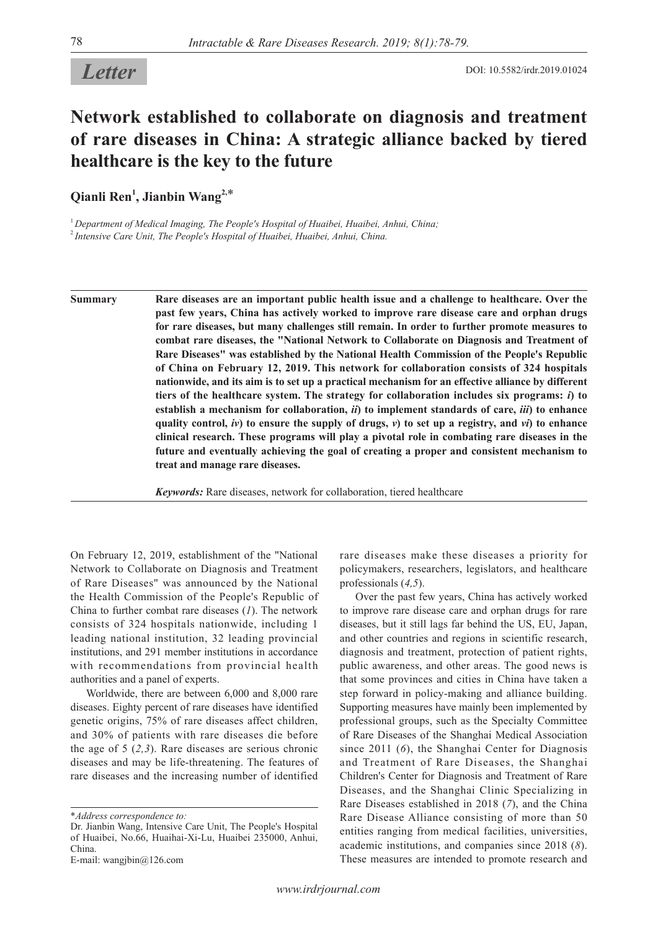## **Network established to collaborate on diagnosis and treatment of rare diseases in China: A strategic alliance backed by tiered healthcare is the key to the future**

**Qianli Ren1 , Jianbin Wang2,**\*

<sup>1</sup>*Department of Medical Imaging, The People's Hospital of Huaibei, Huaibei, Anhui, China;* <sup>2</sup>*Intensive Care Unit, The People's Hospital of Huaibei, Huaibei, Anhui, China.*

**Summary Rare diseases are an important public health issue and a challenge to healthcare. Over the past few years, China has actively worked to improve rare disease care and orphan drugs for rare diseases, but many challenges still remain. In order to further promote measures to combat rare diseases, the "National Network to Collaborate on Diagnosis and Treatment of Rare Diseases" was established by the National Health Commission of the People's Republic of China on February 12, 2019. This network for collaboration consists of 324 hospitals nationwide, and its aim is to set up a practical mechanism for an effective alliance by different tiers of the healthcare system. The strategy for collaboration includes six programs:** *i***) to establish a mechanism for collaboration,** *ii***) to implement standards of care,** *iii***) to enhance quality control,** *iv***) to ensure the supply of drugs,** *v***) to set up a registry, and** *vi***) to enhance clinical research. These programs will play a pivotal role in combating rare diseases in the future and eventually achieving the goal of creating a proper and consistent mechanism to treat and manage rare diseases.**

*Keywords:* Rare diseases, network for collaboration, tiered healthcare

On February 12, 2019, establishment of the "National Network to Collaborate on Diagnosis and Treatment of Rare Diseases" was announced by the National the Health Commission of the People's Republic of China to further combat rare diseases (*1*). The network consists of 324 hospitals nationwide, including 1 leading national institution, 32 leading provincial institutions, and 291 member institutions in accordance with recommendations from provincial health authorities and a panel of experts.

Worldwide, there are between 6,000 and 8,000 rare diseases. Eighty percent of rare diseases have identified genetic origins, 75% of rare diseases affect children, and 30% of patients with rare diseases die before the age of 5 (*2,3*). Rare diseases are serious chronic diseases and may be life-threatening. The features of rare diseases and the increasing number of identified

\**Address correspondence to:*

rare diseases make these diseases a priority for policymakers, researchers, legislators, and healthcare professionals (*4,5*).

Over the past few years, China has actively worked to improve rare disease care and orphan drugs for rare diseases, but it still lags far behind the US, EU, Japan, and other countries and regions in scientific research, diagnosis and treatment, protection of patient rights, public awareness, and other areas. The good news is that some provinces and cities in China have taken a step forward in policy-making and alliance building. Supporting measures have mainly been implemented by professional groups, such as the Specialty Committee of Rare Diseases of the Shanghai Medical Association since 2011 (*6*), the Shanghai Center for Diagnosis and Treatment of Rare Diseases, the Shanghai Children's Center for Diagnosis and Treatment of Rare Diseases, and the Shanghai Clinic Specializing in Rare Diseases established in 2018 (*7*), and the China Rare Disease Alliance consisting of more than 50 entities ranging from medical facilities, universities, academic institutions, and companies since 2018 (*8*). These measures are intended to promote research and

Dr. Jianbin Wang, Intensive Care Unit, The People's Hospital of Huaibei, No.66, Huaihai-Xi-Lu, Huaibei 235000, Anhui, China.

E-mail: wangjbin@126.com